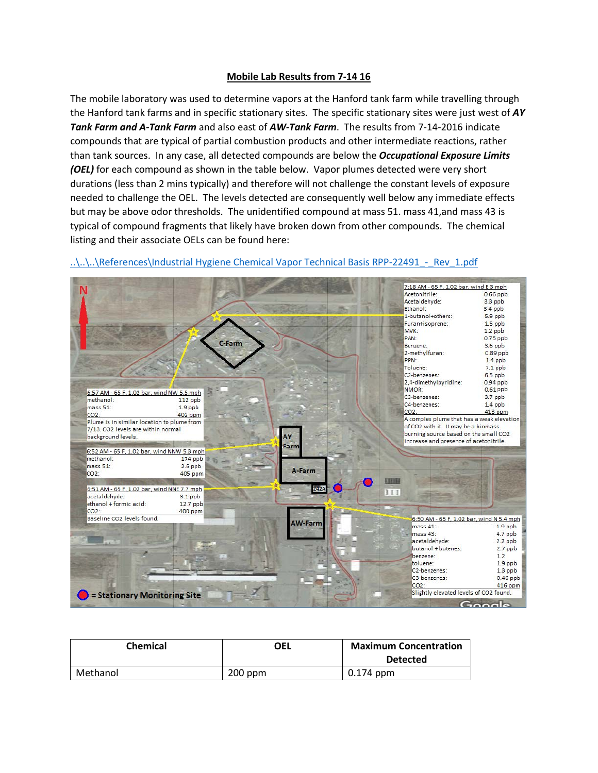## **Mobile Lab Results from 7-14 16**

The mobile laboratory was used to determine vapors at the Hanford tank farm while travelling through the Hanford tank farms and in specific stationary sites. The specific stationary sites were just west of *AY Tank Farm and A-Tank Farm* and also east of *AW-Tank Farm*. The results from 7-14-2016 indicate compounds that are typical of partial combustion products and other intermediate reactions, rather than tank sources. In any case, all detected compounds are below the *Occupational Exposure Limits (OEL)* for each compound as shown in the table below. Vapor plumes detected were very short durations (less than 2 mins typically) and therefore will not challenge the constant levels of exposure needed to challenge the OEL. The levels detected are consequently well below any immediate effects but may be above odor thresholds. The unidentified compound at mass 51. mass 41,and mass 43 is typical of compound fragments that likely have broken down from other compounds. The chemical listing and their associate OELs can be found here:



## ..\..\..\References\Industrial Hygiene Chemical Vapor Technical Basis RPP-22491 - Rev\_1.pdf

| Chemical | OEL       | <b>Maximum Concentration</b> |
|----------|-----------|------------------------------|
|          |           | <b>Detected</b>              |
| Methanol | $200$ ppm | $0.174$ ppm                  |